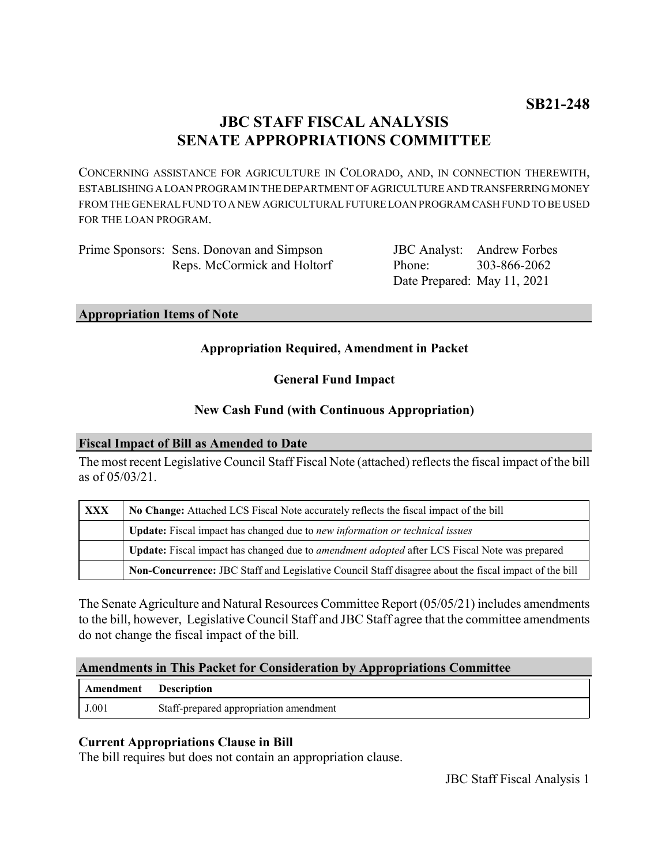# **JBC STAFF FISCAL ANALYSIS SENATE APPROPRIATIONS COMMITTEE**

CONCERNING ASSISTANCE FOR AGRICULTURE IN COLORADO, AND, IN CONNECTION THEREWITH, ESTABLISHING A LOAN PROGRAM IN THE DEPARTMENT OF AGRICULTURE AND TRANSFERRING MONEY FROM THE GENERAL FUND TO A NEW AGRICULTURAL FUTURE LOAN PROGRAM CASH FUND TO BE USED FOR THE LOAN PROGRAM.

| Prime Sponsors: Sens. Donovan and Simpson |
|-------------------------------------------|
| Reps. McCormick and Holtorf               |

JBC Analyst: Andrew Forbes Phone: Date Prepared: May 11, 2021 303-866-2062

#### **Appropriation Items of Note**

# **Appropriation Required, Amendment in Packet**

# **General Fund Impact**

## **New Cash Fund (with Continuous Appropriation)**

## **Fiscal Impact of Bill as Amended to Date**

The most recent Legislative Council Staff Fiscal Note (attached) reflects the fiscal impact of the bill as of 05/03/21.

| <b>XXX</b> | No Change: Attached LCS Fiscal Note accurately reflects the fiscal impact of the bill                 |  |
|------------|-------------------------------------------------------------------------------------------------------|--|
|            | Update: Fiscal impact has changed due to new information or technical issues                          |  |
|            | Update: Fiscal impact has changed due to <i>amendment adopted</i> after LCS Fiscal Note was prepared  |  |
|            | Non-Concurrence: JBC Staff and Legislative Council Staff disagree about the fiscal impact of the bill |  |

The Senate Agriculture and Natural Resources Committee Report (05/05/21) includes amendments to the bill, however, Legislative Council Staff and JBC Staff agree that the committee amendments do not change the fiscal impact of the bill.

#### **Amendments in This Packet for Consideration by Appropriations Committee**

| <b>Amendment</b> Description |                                        |
|------------------------------|----------------------------------------|
| J.001                        | Staff-prepared appropriation amendment |

## **Current Appropriations Clause in Bill**

The bill requires but does not contain an appropriation clause.